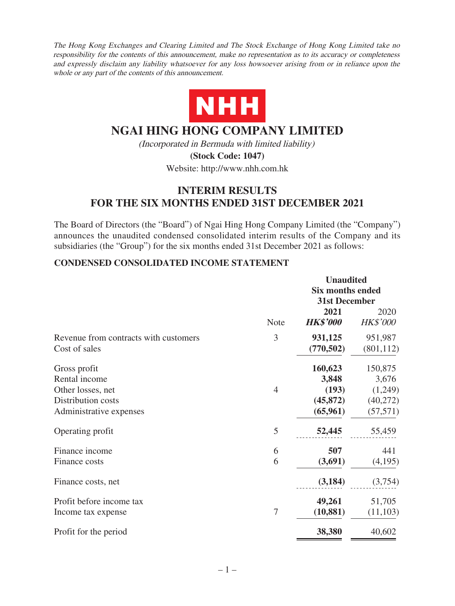The Hong Kong Exchanges and Clearing Limited and The Stock Exchange of Hong Kong Limited take no responsibility for the contents of this announcement, make no representation as to its accuracy or completeness and expressly disclaim any liability whatsoever for any loss howsoever arising from or in reliance upon the whole or any part of the contents of this announcement.



# **NGAI HING HONG COMPANY LIMITED**

(Incorporated in Bermuda with limited liability)

**(Stock Code: 1047)** Website: http://www.nhh.com.hk

# **INTERIM RESULTS FOR THE SIX MONTHS ENDED 31ST DECEMBER 2021**

The Board of Directors (the "Board") of Ngai Hing Hong Company Limited (the "Company") announces the unaudited condensed consolidated interim results of the Company and its subsidiaries (the "Group") for the six months ended 31st December 2021 as follows:

# **CONDENSED CONSOLIDATED INCOME STATEMENT**

|                                       |             | <b>Unaudited</b><br><b>Six months ended</b> |                         |
|---------------------------------------|-------------|---------------------------------------------|-------------------------|
|                                       |             | 31st December                               |                         |
|                                       | <b>Note</b> | 2021<br><b>HK\$'000</b>                     | 2020<br><b>HK\$'000</b> |
| Revenue from contracts with customers | 3           | 931,125                                     | 951,987                 |
| Cost of sales                         |             | (770, 502)                                  | (801, 112)              |
| Gross profit                          |             | 160,623                                     | 150,875                 |
| Rental income                         |             | 3,848                                       | 3,676                   |
| Other losses, net                     | 4           | (193)                                       | (1,249)                 |
| Distribution costs                    |             | (45, 872)                                   | (40,272)                |
| Administrative expenses               |             | (65,961)                                    | (57, 571)               |
| Operating profit                      | 5           | 52,445                                      | 55,459                  |
| Finance income                        | 6           | 507                                         | 441                     |
| Finance costs                         | 6           | (3,691)                                     | (4,195)                 |
| Finance costs, net                    |             | (3, 184)                                    | (3,754)                 |
| Profit before income tax              |             | 49,261                                      | 51,705                  |
| Income tax expense                    | 7           | (10, 881)                                   | (11, 103)               |
| Profit for the period                 |             | 38,380                                      | 40,602                  |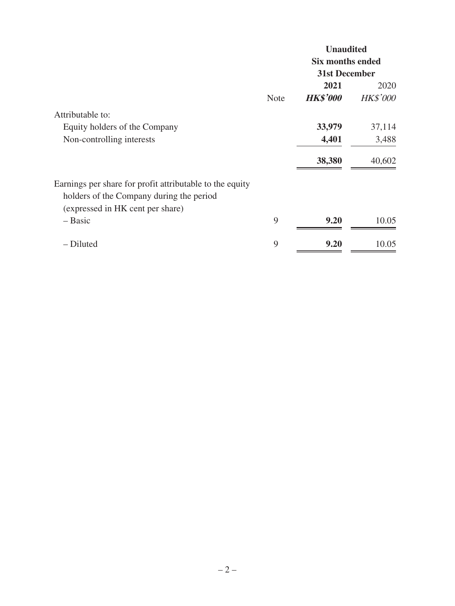|                                                          |             | <b>Unaudited</b>        |                 |  |
|----------------------------------------------------------|-------------|-------------------------|-----------------|--|
|                                                          |             | <b>Six months ended</b> |                 |  |
|                                                          |             | <b>31st December</b>    |                 |  |
|                                                          |             | 2021                    | 2020            |  |
|                                                          | <b>Note</b> | <b>HK\$'000</b>         | <b>HK\$'000</b> |  |
| Attributable to:                                         |             |                         |                 |  |
| Equity holders of the Company                            |             | 33,979                  | 37,114          |  |
| Non-controlling interests                                |             | 4,401                   | 3,488           |  |
|                                                          |             | 38,380                  | 40,602          |  |
| Earnings per share for profit attributable to the equity |             |                         |                 |  |
| holders of the Company during the period                 |             |                         |                 |  |
| (expressed in HK cent per share)                         |             |                         |                 |  |
| - Basic                                                  | 9           | 9.20                    | 10.05           |  |
| - Diluted                                                | 9           | 9.20                    | 10.05           |  |
|                                                          |             |                         |                 |  |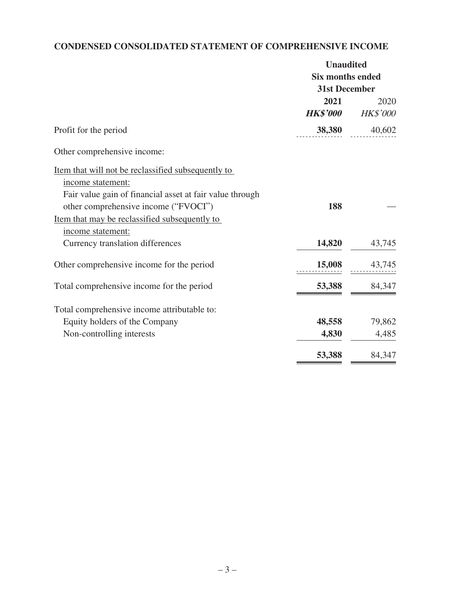# **CONDENSED CONSOLIDATED STATEMENT OF COMPREHENSIVE INCOME**

| <b>Six months ended</b><br>31st December<br>2021<br><b>HK\$'000</b><br>38,380<br>Profit for the period<br>Other comprehensive income:<br>Item that will not be reclassified subsequently to<br>income statement:<br>Fair value gain of financial asset at fair value through<br>other comprehensive income ("FVOCI")<br>188<br>Item that may be reclassified subsequently to<br>income statement:<br>14,820<br>Currency translation differences<br>Other comprehensive income for the period<br>15,008<br>53,388<br>Total comprehensive income for the period<br>Total comprehensive income attributable to:<br>48,558<br>Equity holders of the Company<br>4,830<br>Non-controlling interests<br>53,388 | <b>Unaudited</b> |                  |
|---------------------------------------------------------------------------------------------------------------------------------------------------------------------------------------------------------------------------------------------------------------------------------------------------------------------------------------------------------------------------------------------------------------------------------------------------------------------------------------------------------------------------------------------------------------------------------------------------------------------------------------------------------------------------------------------------------|------------------|------------------|
|                                                                                                                                                                                                                                                                                                                                                                                                                                                                                                                                                                                                                                                                                                         |                  |                  |
|                                                                                                                                                                                                                                                                                                                                                                                                                                                                                                                                                                                                                                                                                                         |                  |                  |
|                                                                                                                                                                                                                                                                                                                                                                                                                                                                                                                                                                                                                                                                                                         |                  | 2020<br>HK\$'000 |
|                                                                                                                                                                                                                                                                                                                                                                                                                                                                                                                                                                                                                                                                                                         |                  | 40,602           |
|                                                                                                                                                                                                                                                                                                                                                                                                                                                                                                                                                                                                                                                                                                         |                  |                  |
|                                                                                                                                                                                                                                                                                                                                                                                                                                                                                                                                                                                                                                                                                                         |                  |                  |
|                                                                                                                                                                                                                                                                                                                                                                                                                                                                                                                                                                                                                                                                                                         |                  |                  |
|                                                                                                                                                                                                                                                                                                                                                                                                                                                                                                                                                                                                                                                                                                         |                  |                  |
|                                                                                                                                                                                                                                                                                                                                                                                                                                                                                                                                                                                                                                                                                                         |                  | 43,745           |
|                                                                                                                                                                                                                                                                                                                                                                                                                                                                                                                                                                                                                                                                                                         |                  | 43,745           |
|                                                                                                                                                                                                                                                                                                                                                                                                                                                                                                                                                                                                                                                                                                         |                  | 84,347           |
|                                                                                                                                                                                                                                                                                                                                                                                                                                                                                                                                                                                                                                                                                                         |                  |                  |
|                                                                                                                                                                                                                                                                                                                                                                                                                                                                                                                                                                                                                                                                                                         |                  | 79,862           |
|                                                                                                                                                                                                                                                                                                                                                                                                                                                                                                                                                                                                                                                                                                         |                  | 4,485            |
|                                                                                                                                                                                                                                                                                                                                                                                                                                                                                                                                                                                                                                                                                                         |                  | 84,347           |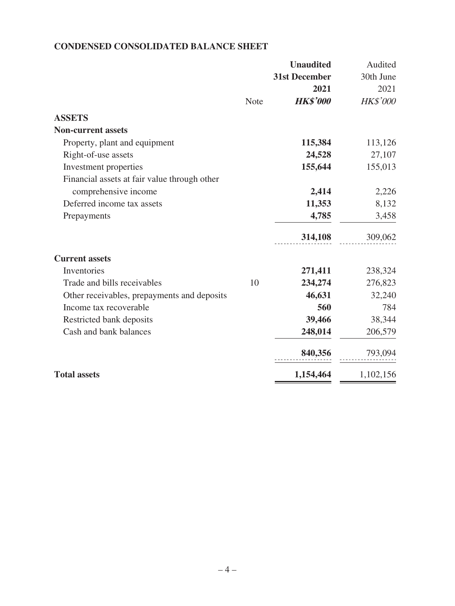# **CONDENSED CONSOLIDATED BALANCE SHEET**

|                                              |             | <b>Unaudited</b>     | Audited         |
|----------------------------------------------|-------------|----------------------|-----------------|
|                                              |             | <b>31st December</b> | 30th June       |
|                                              |             | 2021                 | 2021            |
|                                              | <b>Note</b> | <b>HK\$'000</b>      | <b>HK\$'000</b> |
| <b>ASSETS</b>                                |             |                      |                 |
| <b>Non-current assets</b>                    |             |                      |                 |
| Property, plant and equipment                |             | 115,384              | 113,126         |
| Right-of-use assets                          |             | 24,528               | 27,107          |
| Investment properties                        |             | 155,644              | 155,013         |
| Financial assets at fair value through other |             |                      |                 |
| comprehensive income                         |             | 2,414                | 2,226           |
| Deferred income tax assets                   |             | 11,353               | 8,132           |
| Prepayments                                  |             | 4,785                | 3,458           |
|                                              |             | 314,108              | 309,062         |
| <b>Current assets</b>                        |             |                      |                 |
| Inventories                                  |             | 271,411              | 238,324         |
| Trade and bills receivables                  | 10          | 234,274              | 276,823         |
| Other receivables, prepayments and deposits  |             | 46,631               | 32,240          |
| Income tax recoverable                       |             | 560                  | 784             |
| Restricted bank deposits                     |             | 39,466               | 38,344          |
| Cash and bank balances                       |             | 248,014              | 206,579         |
|                                              |             | 840,356              | 793,094         |
| <b>Total assets</b>                          |             | 1,154,464            | 1,102,156       |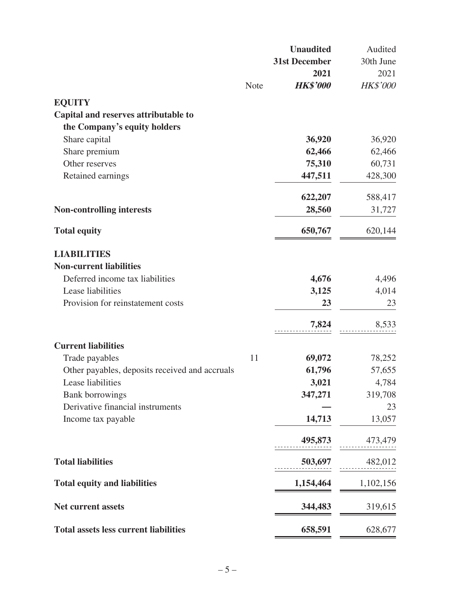|                                                |             | <b>Unaudited</b>     | Audited   |
|------------------------------------------------|-------------|----------------------|-----------|
|                                                |             | <b>31st December</b> | 30th June |
|                                                |             | 2021                 | 2021      |
|                                                | <b>Note</b> | <b>HK\$'000</b>      | HK\$'000  |
| <b>EQUITY</b>                                  |             |                      |           |
| Capital and reserves attributable to           |             |                      |           |
| the Company's equity holders                   |             |                      |           |
| Share capital                                  |             | 36,920               | 36,920    |
| Share premium                                  |             | 62,466               | 62,466    |
| Other reserves                                 |             | 75,310               | 60,731    |
| Retained earnings                              |             | 447,511              | 428,300   |
|                                                |             |                      |           |
|                                                |             | 622,207              | 588,417   |
| <b>Non-controlling interests</b>               |             | 28,560               | 31,727    |
| <b>Total equity</b>                            |             | 650,767              | 620,144   |
|                                                |             |                      |           |
| <b>LIABILITIES</b>                             |             |                      |           |
| <b>Non-current liabilities</b>                 |             |                      |           |
| Deferred income tax liabilities                |             | 4,676                | 4,496     |
| Lease liabilities                              |             | 3,125                | 4,014     |
| Provision for reinstatement costs              |             | 23                   | 23        |
|                                                |             | 7,824                | 8,533     |
| <b>Current liabilities</b>                     |             |                      |           |
| Trade payables                                 | 11          | 69,072               | 78,252    |
| Other payables, deposits received and accruals |             | 61,796               | 57,655    |
| Lease liabilities                              |             | 3,021                | 4,784     |
| <b>Bank borrowings</b>                         |             | 347,271              | 319,708   |
| Derivative financial instruments               |             |                      | 23        |
| Income tax payable                             |             | 14,713               | 13,057    |
|                                                |             | 495,873              | 473,479   |
|                                                |             |                      |           |
| <b>Total liabilities</b>                       |             | 503,697              | 482,012   |
| <b>Total equity and liabilities</b>            |             | 1,154,464            | 1,102,156 |
| <b>Net current assets</b>                      |             | 344,483              | 319,615   |
| <b>Total assets less current liabilities</b>   |             | 658,591              | 628,677   |
|                                                |             |                      |           |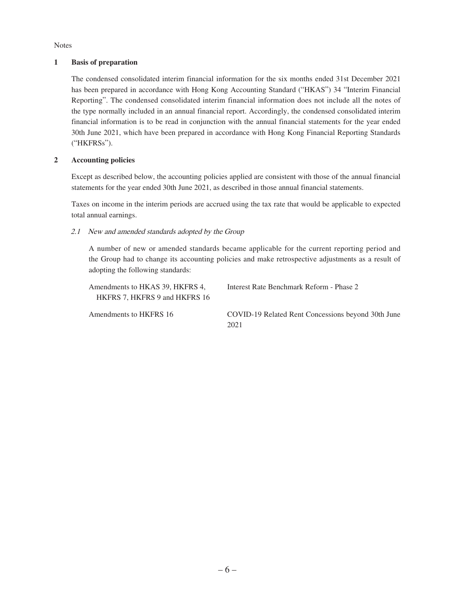Notes

### **1 Basis of preparation**

The condensed consolidated interim financial information for the six months ended 31st December 2021 has been prepared in accordance with Hong Kong Accounting Standard ("HKAS") 34 "Interim Financial Reporting". The condensed consolidated interim financial information does not include all the notes of the type normally included in an annual financial report. Accordingly, the condensed consolidated interim financial information is to be read in conjunction with the annual financial statements for the year ended 30th June 2021, which have been prepared in accordance with Hong Kong Financial Reporting Standards ("HKFRSs").

### **2 Accounting policies**

Except as described below, the accounting policies applied are consistent with those of the annual financial statements for the year ended 30th June 2021, as described in those annual financial statements.

Taxes on income in the interim periods are accrued using the tax rate that would be applicable to expected total annual earnings.

### 2.1 New and amended standards adopted by the Group

A number of new or amended standards became applicable for the current reporting period and the Group had to change its accounting policies and make retrospective adjustments as a result of adopting the following standards:

| Amendments to HKAS 39, HKFRS 4,<br>HKFRS 7, HKFRS 9 and HKFRS 16 | Interest Rate Benchmark Reform - Phase 2                   |
|------------------------------------------------------------------|------------------------------------------------------------|
| Amendments to HKFRS 16                                           | COVID-19 Related Rent Concessions beyond 30th June<br>2021 |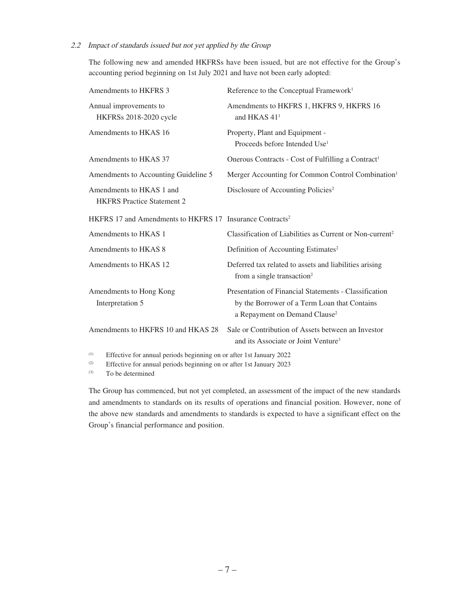#### 2.2 Impact of standards issued but not yet applied by the Group

The following new and amended HKFRSs have been issued, but are not effective for the Group's accounting period beginning on 1st July 2021 and have not been early adopted:

| Amendments to HKFRS 3                                                | Reference to the Conceptual Framework <sup>1</sup>                                                                                                 |
|----------------------------------------------------------------------|----------------------------------------------------------------------------------------------------------------------------------------------------|
| Annual improvements to<br>HKFRSs 2018-2020 cycle                     | Amendments to HKFRS 1, HKFRS 9, HKFRS 16<br>and HKAS $411$                                                                                         |
| Amendments to HKAS 16                                                | Property, Plant and Equipment -<br>Proceeds before Intended Use <sup>1</sup>                                                                       |
| Amendments to HKAS 37                                                | Onerous Contracts - Cost of Fulfilling a Contract <sup>1</sup>                                                                                     |
| Amendments to Accounting Guideline 5                                 | Merger Accounting for Common Control Combination <sup>1</sup>                                                                                      |
| Amendments to HKAS 1 and<br><b>HKFRS</b> Practice Statement 2        | Disclosure of Accounting Policies <sup>2</sup>                                                                                                     |
| HKFRS 17 and Amendments to HKFRS 17 Insurance Contracts <sup>2</sup> |                                                                                                                                                    |
| Amendments to HKAS 1                                                 | Classification of Liabilities as Current or Non-current <sup>2</sup>                                                                               |
| Amendments to HKAS 8                                                 | Definition of Accounting Estimates <sup>2</sup>                                                                                                    |
| Amendments to HKAS 12                                                | Deferred tax related to assets and liabilities arising<br>from a single transaction <sup>2</sup>                                                   |
| Amendments to Hong Kong<br>Interpretation 5                          | Presentation of Financial Statements - Classification<br>by the Borrower of a Term Loan that Contains<br>a Repayment on Demand Clause <sup>2</sup> |
| Amendments to HKFRS 10 and HKAS 28                                   | Sale or Contribution of Assets between an Investor<br>and its Associate or Joint Venture <sup>3</sup>                                              |

(1) Effective for annual periods beginning on or after 1st January 2022

(2) Effective for annual periods beginning on or after 1st January 2023

(3) To be determined

The Group has commenced, but not yet completed, an assessment of the impact of the new standards and amendments to standards on its results of operations and financial position. However, none of the above new standards and amendments to standards is expected to have a significant effect on the Group's financial performance and position.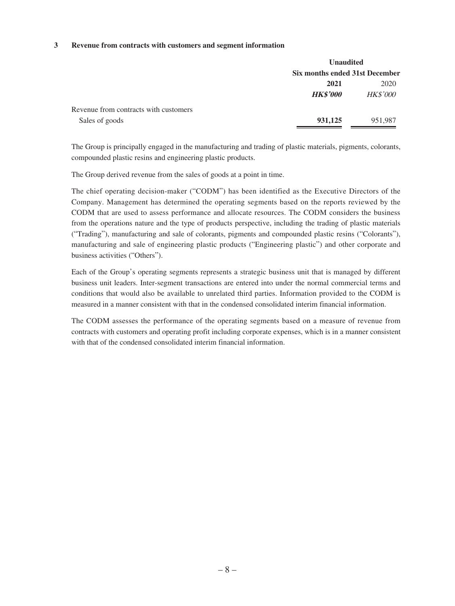#### **3 Revenue from contracts with customers and segment information**

|                                       | <b>Unaudited</b>               |                 |  |  |
|---------------------------------------|--------------------------------|-----------------|--|--|
|                                       | Six months ended 31st December |                 |  |  |
|                                       | 2021                           | 2020            |  |  |
|                                       | <b>HK\$'000</b>                | <i>HK\$'000</i> |  |  |
| Revenue from contracts with customers |                                |                 |  |  |
| Sales of goods                        | 931,125                        | 951,987         |  |  |

The Group is principally engaged in the manufacturing and trading of plastic materials, pigments, colorants, compounded plastic resins and engineering plastic products.

The Group derived revenue from the sales of goods at a point in time.

The chief operating decision-maker ("CODM") has been identified as the Executive Directors of the Company. Management has determined the operating segments based on the reports reviewed by the CODM that are used to assess performance and allocate resources. The CODM considers the business from the operations nature and the type of products perspective, including the trading of plastic materials ("Trading"), manufacturing and sale of colorants, pigments and compounded plastic resins ("Colorants"), manufacturing and sale of engineering plastic products ("Engineering plastic") and other corporate and business activities ("Others").

Each of the Group's operating segments represents a strategic business unit that is managed by different business unit leaders. Inter-segment transactions are entered into under the normal commercial terms and conditions that would also be available to unrelated third parties. Information provided to the CODM is measured in a manner consistent with that in the condensed consolidated interim financial information.

The CODM assesses the performance of the operating segments based on a measure of revenue from contracts with customers and operating profit including corporate expenses, which is in a manner consistent with that of the condensed consolidated interim financial information.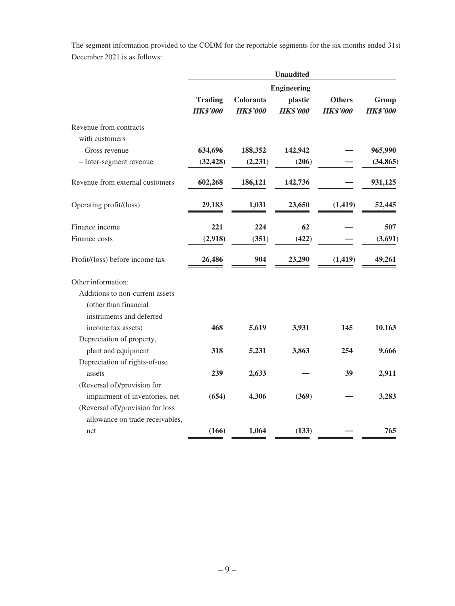The segment information provided to the CODM for the reportable segments for the six months ended 31st December 2021 is as follows:

|                                  | <b>Unaudited</b>                  |                                     |                            |                                  |                          |
|----------------------------------|-----------------------------------|-------------------------------------|----------------------------|----------------------------------|--------------------------|
|                                  |                                   |                                     | <b>Engineering</b>         |                                  |                          |
|                                  | <b>Trading</b><br><b>HK\$'000</b> | <b>Colorants</b><br><b>HK\$'000</b> | plastic<br><b>HK\$'000</b> | <b>Others</b><br><b>HK\$'000</b> | Group<br><b>HK\$'000</b> |
| Revenue from contracts           |                                   |                                     |                            |                                  |                          |
| with customers                   |                                   |                                     |                            |                                  |                          |
| – Gross revenue                  | 634,696                           | 188,352                             | 142,942                    |                                  | 965,990                  |
| - Inter-segment revenue          | (32, 428)                         | (2, 231)                            | (206)                      |                                  | (34, 865)                |
| Revenue from external customers  | 602,268                           | 186,121                             | 142,736                    |                                  | 931,125                  |
| Operating profit/(loss)          | 29,183                            | 1,031                               | 23,650                     | (1, 419)                         | 52,445                   |
| Finance income                   | 221                               | 224                                 | 62                         |                                  | 507                      |
| Finance costs                    | (2,918)                           | (351)                               | (422)                      |                                  | (3,691)                  |
| Profit/(loss) before income tax  | 26,486                            | 904                                 | 23,290                     | (1, 419)                         | 49,261                   |
| Other information:               |                                   |                                     |                            |                                  |                          |
| Additions to non-current assets  |                                   |                                     |                            |                                  |                          |
| (other than financial            |                                   |                                     |                            |                                  |                          |
| instruments and deferred         |                                   |                                     |                            |                                  |                          |
| income tax assets)               | 468                               | 5,619                               | 3,931                      | 145                              | 10,163                   |
| Depreciation of property,        |                                   |                                     |                            |                                  |                          |
| plant and equipment              | 318                               | 5,231                               | 3,863                      | 254                              | 9,666                    |
| Depreciation of rights-of-use    |                                   |                                     |                            |                                  |                          |
| assets                           | 239                               | 2,633                               |                            | 39                               | 2,911                    |
| (Reversal of)/provision for      |                                   |                                     |                            |                                  |                          |
| impairment of inventories, net   | (654)                             | 4,306                               | (369)                      |                                  | 3,283                    |
| (Reversal of)/provision for loss |                                   |                                     |                            |                                  |                          |
| allowance on trade receivables,  |                                   |                                     |                            |                                  |                          |
| net                              | (166)                             | 1,064                               | (133)                      |                                  | 765                      |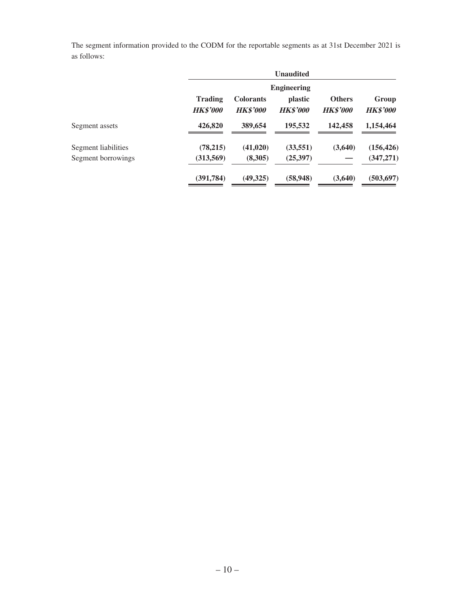The segment information provided to the CODM for the reportable segments as at 31st December 2021 is as follows:

|                     |                                   |                                     | <b>Unaudited</b>           |                                  |                          |  |  |
|---------------------|-----------------------------------|-------------------------------------|----------------------------|----------------------------------|--------------------------|--|--|
|                     |                                   | <b>Engineering</b>                  |                            |                                  |                          |  |  |
|                     | <b>Trading</b><br><b>HK\$'000</b> | <b>Colorants</b><br><b>HK\$'000</b> | plastic<br><b>HK\$'000</b> | <b>Others</b><br><b>HK\$'000</b> | Group<br><b>HK\$'000</b> |  |  |
| Segment assets      | 426,820                           | 389,654                             | 195,532                    | 142,458                          | 1,154,464                |  |  |
| Segment liabilities | (78,215)                          | (41,020)                            | (33, 551)                  | (3,640)                          | (156, 426)               |  |  |
| Segment borrowings  | (313,569)                         | (8,305)                             | (25,397)                   |                                  | (347, 271)               |  |  |
|                     | (391,784)                         | (49,325)                            | (58, 948)                  | (3,640)                          | (503, 697)               |  |  |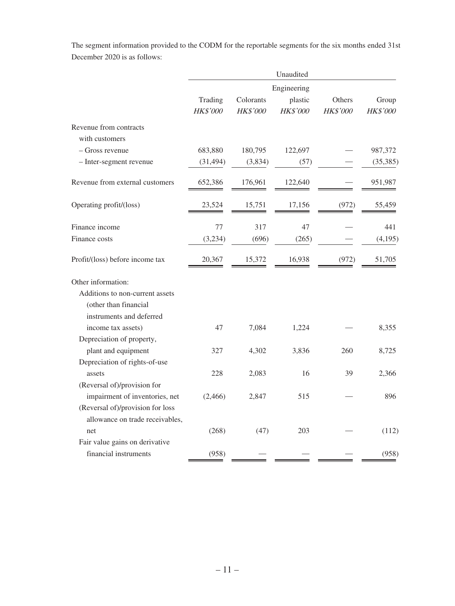The segment information provided to the CODM for the reportable segments for the six months ended 31st December 2020 is as follows:

|                                  | Unaudited           |                       |                     |                    |                   |
|----------------------------------|---------------------|-----------------------|---------------------|--------------------|-------------------|
|                                  | Engineering         |                       |                     |                    |                   |
|                                  | Trading<br>HK\$'000 | Colorants<br>HK\$'000 | plastic<br>HK\$'000 | Others<br>HK\$'000 | Group<br>HK\$'000 |
| Revenue from contracts           |                     |                       |                     |                    |                   |
| with customers                   |                     |                       |                     |                    |                   |
| – Gross revenue                  | 683,880             | 180,795               | 122,697             |                    | 987,372           |
| - Inter-segment revenue          | (31, 494)           | (3,834)               | (57)                |                    | (35, 385)         |
| Revenue from external customers  | 652,386             | 176,961               | 122,640             |                    | 951,987           |
| Operating profit/(loss)          | 23,524              | 15,751                | 17,156              | (972)              | 55,459            |
| Finance income                   | 77                  | 317                   | 47                  |                    | 441               |
| Finance costs                    | (3,234)             | (696)                 | (265)               |                    | (4,195)           |
| Profit/(loss) before income tax  | 20,367              | 15,372                | 16,938              | (972)              | 51,705            |
| Other information:               |                     |                       |                     |                    |                   |
| Additions to non-current assets  |                     |                       |                     |                    |                   |
| (other than financial            |                     |                       |                     |                    |                   |
| instruments and deferred         |                     |                       |                     |                    |                   |
| income tax assets)               | 47                  | 7,084                 | 1,224               |                    | 8,355             |
| Depreciation of property,        |                     |                       |                     |                    |                   |
| plant and equipment              | 327                 | 4,302                 | 3,836               | 260                | 8,725             |
| Depreciation of rights-of-use    |                     |                       |                     |                    |                   |
| assets                           | 228                 | 2,083                 | 16                  | 39                 | 2,366             |
| (Reversal of)/provision for      |                     |                       |                     |                    |                   |
| impairment of inventories, net   | (2,466)             | 2,847                 | 515                 |                    | 896               |
| (Reversal of)/provision for loss |                     |                       |                     |                    |                   |
| allowance on trade receivables,  |                     |                       |                     |                    |                   |
| net                              | (268)               | (47)                  | 203                 |                    | (112)             |
| Fair value gains on derivative   |                     |                       |                     |                    |                   |
| financial instruments            | (958)               |                       |                     |                    | (958)             |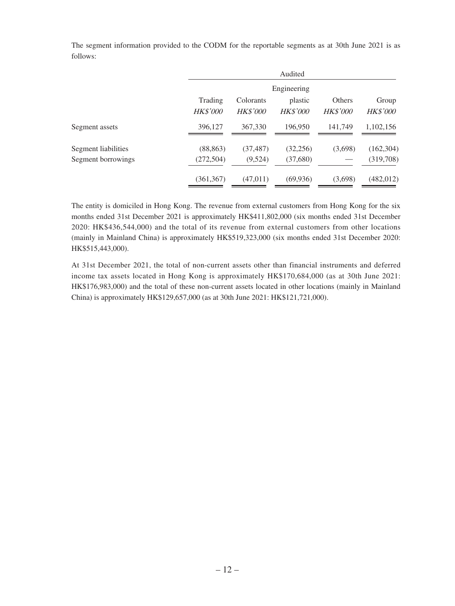|                     |                 |                 | Audited         |                 |                 |  |
|---------------------|-----------------|-----------------|-----------------|-----------------|-----------------|--|
|                     |                 | Engineering     |                 |                 |                 |  |
|                     | Trading         | Colorants       | plastic         | Others          | Group           |  |
|                     | <b>HK\$'000</b> | <b>HK\$'000</b> | <b>HK\$'000</b> | <b>HK\$'000</b> | <b>HK\$'000</b> |  |
| Segment assets      | 396,127         | 367,330         | 196,950         | 141,749         | 1,102,156       |  |
| Segment liabilities | (88, 863)       | (37, 487)       | (32, 256)       | (3,698)         | (162, 304)      |  |
| Segment borrowings  | (272, 504)      | (9,524)         | (37,680)        |                 | (319,708)       |  |
|                     | (361, 367)      | (47,011)        | (69, 936)       | (3,698)         | (482, 012)      |  |

The segment information provided to the CODM for the reportable segments as at 30th June 2021 is as follows:

The entity is domiciled in Hong Kong. The revenue from external customers from Hong Kong for the six months ended 31st December 2021 is approximately HK\$411,802,000 (six months ended 31st December 2020: HK\$436,544,000) and the total of its revenue from external customers from other locations (mainly in Mainland China) is approximately HK\$519,323,000 (six months ended 31st December 2020: HK\$515,443,000).

At 31st December 2021, the total of non-current assets other than financial instruments and deferred income tax assets located in Hong Kong is approximately HK\$170,684,000 (as at 30th June 2021: HK\$176,983,000) and the total of these non-current assets located in other locations (mainly in Mainland China) is approximately HK\$129,657,000 (as at 30th June 2021: HK\$121,721,000).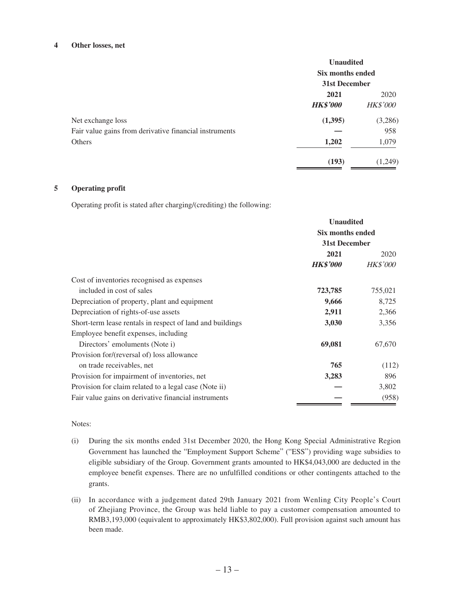#### **4 Other losses, net**

|                                                        | <b>Unaudited</b><br>Six months ended<br>31st December |                 |
|--------------------------------------------------------|-------------------------------------------------------|-----------------|
|                                                        |                                                       |                 |
|                                                        | 2021                                                  | 2020            |
|                                                        | <b>HK\$'000</b>                                       | <b>HK\$'000</b> |
| Net exchange loss                                      | (1,395)                                               | (3,286)         |
| Fair value gains from derivative financial instruments |                                                       | 958             |
| Others                                                 | 1,202                                                 | 1,079           |
|                                                        | (193)                                                 | (1,249)         |

### **5 Operating profit**

Operating profit is stated after charging/(crediting) the following:

|                                                           | <b>Unaudited</b><br>Six months ended<br>31st December |                 |
|-----------------------------------------------------------|-------------------------------------------------------|-----------------|
|                                                           |                                                       |                 |
|                                                           |                                                       |                 |
|                                                           | 2021                                                  | 2020            |
|                                                           | <b>HK\$'000</b>                                       | <b>HK\$'000</b> |
| Cost of inventories recognised as expenses                |                                                       |                 |
| included in cost of sales                                 | 723,785                                               | 755,021         |
| Depreciation of property, plant and equipment             | 9,666                                                 | 8,725           |
| Depreciation of rights-of-use assets                      | 2,911                                                 | 2,366           |
| Short-term lease rentals in respect of land and buildings | 3,030                                                 | 3,356           |
| Employee benefit expenses, including                      |                                                       |                 |
| Directors' emoluments (Note i)                            | 69,081                                                | 67,670          |
| Provision for/(reversal of) loss allowance                |                                                       |                 |
| on trade receivables, net                                 | 765                                                   | (112)           |
| Provision for impairment of inventories, net              | 3,283                                                 | 896             |
| Provision for claim related to a legal case (Note ii)     |                                                       | 3,802           |
| Fair value gains on derivative financial instruments      |                                                       | (958)           |

#### Notes:

- (i) During the six months ended 31st December 2020, the Hong Kong Special Administrative Region Government has launched the "Employment Support Scheme" ("ESS") providing wage subsidies to eligible subsidiary of the Group. Government grants amounted to HK\$4,043,000 are deducted in the employee benefit expenses. There are no unfulfilled conditions or other contingents attached to the grants.
- (ii) In accordance with a judgement dated 29th January 2021 from Wenling City People's Court of Zhejiang Province, the Group was held liable to pay a customer compensation amounted to RMB3,193,000 (equivalent to approximately HK\$3,802,000). Full provision against such amount has been made.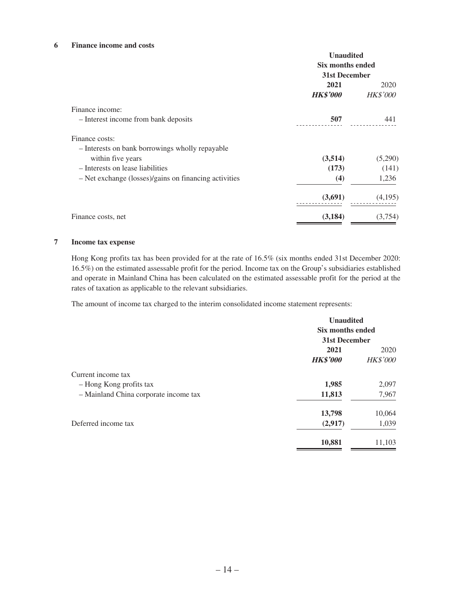#### **6 Finance income and costs**

|                                                       | <b>Unaudited</b>                  |                 |
|-------------------------------------------------------|-----------------------------------|-----------------|
|                                                       | Six months ended<br>31st December |                 |
|                                                       |                                   |                 |
|                                                       | 2021                              | 2020            |
|                                                       | <b>HK\$'000</b>                   | <b>HK\$'000</b> |
| Finance income:                                       |                                   |                 |
| - Interest income from bank deposits                  | 507                               | 441             |
| Finance costs:                                        |                                   |                 |
| - Interests on bank borrowings wholly repayable       |                                   |                 |
| within five years                                     | (3,514)                           | (5,290)         |
| - Interests on lease liabilities                      | (173)                             | (141)           |
| - Net exchange (losses)/gains on financing activities | (4)                               | 1,236           |
|                                                       | (3,691)                           | (4,195)         |
| Finance costs, net                                    | (3, 184)                          | (3,754)         |

### **7 Income tax expense**

Hong Kong profits tax has been provided for at the rate of 16.5% (six months ended 31st December 2020: 16.5%) on the estimated assessable profit for the period. Income tax on the Group's subsidiaries established and operate in Mainland China has been calculated on the estimated assessable profit for the period at the rates of taxation as applicable to the relevant subsidiaries.

The amount of income tax charged to the interim consolidated income statement represents:

|                                       | <b>Unaudited</b><br>Six months ended<br>31st December |                 |
|---------------------------------------|-------------------------------------------------------|-----------------|
|                                       |                                                       |                 |
|                                       |                                                       |                 |
|                                       | 2021                                                  | 2020            |
|                                       | <b>HK\$'000</b>                                       | <b>HK\$'000</b> |
| Current income tax                    |                                                       |                 |
| - Hong Kong profits tax               | 1,985                                                 | 2,097           |
| - Mainland China corporate income tax | 11,813                                                | 7,967           |
|                                       | 13,798                                                | 10,064          |
| Deferred income tax                   | (2,917)                                               | 1,039           |
|                                       | 10,881                                                | 11,103          |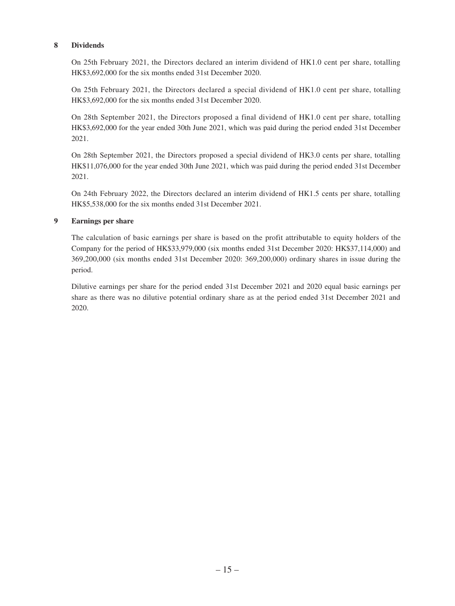### **8 Dividends**

On 25th February 2021, the Directors declared an interim dividend of HK1.0 cent per share, totalling HK\$3,692,000 for the six months ended 31st December 2020.

On 25th February 2021, the Directors declared a special dividend of HK1.0 cent per share, totalling HK\$3,692,000 for the six months ended 31st December 2020.

On 28th September 2021, the Directors proposed a final dividend of HK1.0 cent per share, totalling HK\$3,692,000 for the year ended 30th June 2021, which was paid during the period ended 31st December 2021.

On 28th September 2021, the Directors proposed a special dividend of HK3.0 cents per share, totalling HK\$11,076,000 for the year ended 30th June 2021, which was paid during the period ended 31st December 2021.

On 24th February 2022, the Directors declared an interim dividend of HK1.5 cents per share, totalling HK\$5,538,000 for the six months ended 31st December 2021.

### **9 Earnings per share**

The calculation of basic earnings per share is based on the profit attributable to equity holders of the Company for the period of HK\$33,979,000 (six months ended 31st December 2020: HK\$37,114,000) and 369,200,000 (six months ended 31st December 2020: 369,200,000) ordinary shares in issue during the period.

Dilutive earnings per share for the period ended 31st December 2021 and 2020 equal basic earnings per share as there was no dilutive potential ordinary share as at the period ended 31st December 2021 and 2020.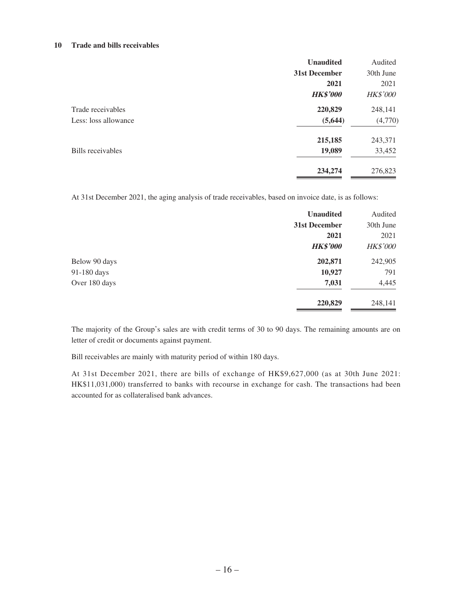#### **10 Trade and bills receivables**

|                      | <b>Unaudited</b> | Audited         |
|----------------------|------------------|-----------------|
|                      | 31st December    | 30th June       |
|                      | 2021             | 2021            |
|                      | <b>HK\$'000</b>  | <b>HK\$'000</b> |
| Trade receivables    | 220,829          | 248,141         |
| Less: loss allowance | (5, 644)         | (4,770)         |
|                      | 215,185          | 243,371         |
| Bills receivables    | 19,089           | 33,452          |
|                      | 234,274          | 276,823         |

At 31st December 2021, the aging analysis of trade receivables, based on invoice date, is as follows:

|               | <b>Unaudited</b> | Audited         |
|---------------|------------------|-----------------|
|               | 31st December    | 30th June       |
|               | 2021             | 2021            |
|               | <b>HK\$'000</b>  | <b>HK\$'000</b> |
| Below 90 days | 202,871          | 242,905         |
| 91-180 days   | 10,927           | 791             |
| Over 180 days | 7,031            | 4,445           |
|               | 220,829          | 248,141         |

The majority of the Group's sales are with credit terms of 30 to 90 days. The remaining amounts are on letter of credit or documents against payment.

Bill receivables are mainly with maturity period of within 180 days.

At 31st December 2021, there are bills of exchange of HK\$9,627,000 (as at 30th June 2021: HK\$11,031,000) transferred to banks with recourse in exchange for cash. The transactions had been accounted for as collateralised bank advances.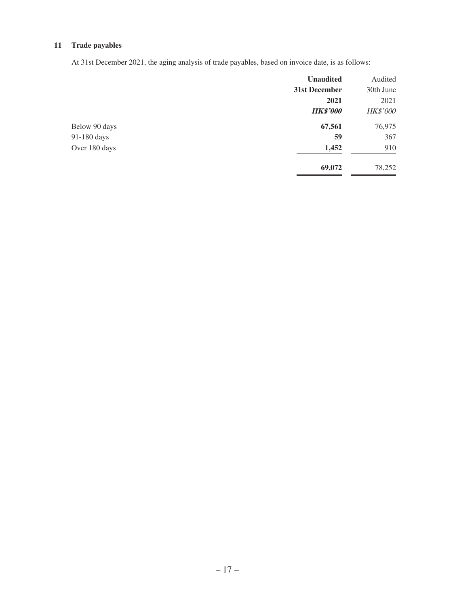### **11 Trade payables**

At 31st December 2021, the aging analysis of trade payables, based on invoice date, is as follows:

| Audited         |
|-----------------|
| 30th June       |
| 2021            |
| <b>HK\$'000</b> |
| 76,975          |
| 367             |
| 910             |
| 78,252          |
|                 |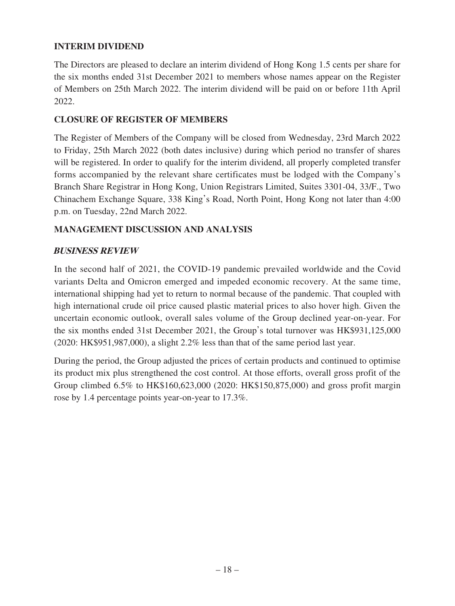### **INTERIM DIVIDEND**

The Directors are pleased to declare an interim dividend of Hong Kong 1.5 cents per share for the six months ended 31st December 2021 to members whose names appear on the Register of Members on 25th March 2022. The interim dividend will be paid on or before 11th April 2022.

### **CLOSURE OF REGISTER OF MEMBERS**

The Register of Members of the Company will be closed from Wednesday, 23rd March 2022 to Friday, 25th March 2022 (both dates inclusive) during which period no transfer of shares will be registered. In order to qualify for the interim dividend, all properly completed transfer forms accompanied by the relevant share certificates must be lodged with the Company's Branch Share Registrar in Hong Kong, Union Registrars Limited, Suites 3301-04, 33/F., Two Chinachem Exchange Square, 338 King's Road, North Point, Hong Kong not later than 4:00 p.m. on Tuesday, 22nd March 2022.

### **MANAGEMENT DISCUSSION AND ANALYSIS**

### **BUSINESS REVIEW**

In the second half of 2021, the COVID-19 pandemic prevailed worldwide and the Covid variants Delta and Omicron emerged and impeded economic recovery. At the same time, international shipping had yet to return to normal because of the pandemic. That coupled with high international crude oil price caused plastic material prices to also hover high. Given the uncertain economic outlook, overall sales volume of the Group declined year-on-year. For the six months ended 31st December 2021, the Group's total turnover was HK\$931,125,000 (2020: HK\$951,987,000), a slight 2.2% less than that of the same period last year.

During the period, the Group adjusted the prices of certain products and continued to optimise its product mix plus strengthened the cost control. At those efforts, overall gross profit of the Group climbed 6.5% to HK\$160,623,000 (2020: HK\$150,875,000) and gross profit margin rose by 1.4 percentage points year-on-year to 17.3%.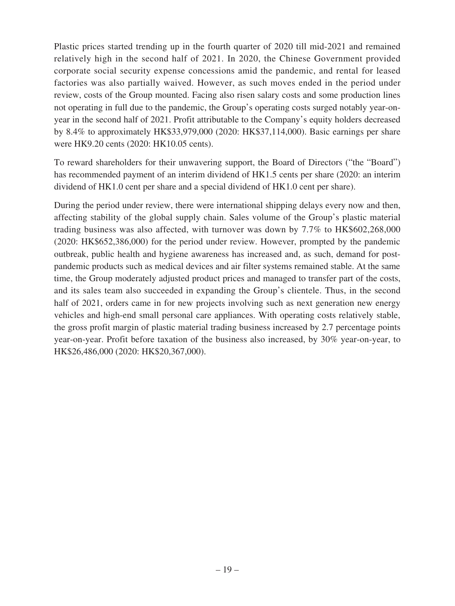Plastic prices started trending up in the fourth quarter of 2020 till mid-2021 and remained relatively high in the second half of 2021. In 2020, the Chinese Government provided corporate social security expense concessions amid the pandemic, and rental for leased factories was also partially waived. However, as such moves ended in the period under review, costs of the Group mounted. Facing also risen salary costs and some production lines not operating in full due to the pandemic, the Group's operating costs surged notably year-onyear in the second half of 2021. Profit attributable to the Company's equity holders decreased by 8.4% to approximately HK\$33,979,000 (2020: HK\$37,114,000). Basic earnings per share were HK9.20 cents (2020: HK10.05 cents).

To reward shareholders for their unwavering support, the Board of Directors ("the "Board") has recommended payment of an interim dividend of HK1.5 cents per share (2020: an interim dividend of HK1.0 cent per share and a special dividend of HK1.0 cent per share).

During the period under review, there were international shipping delays every now and then, affecting stability of the global supply chain. Sales volume of the Group's plastic material trading business was also affected, with turnover was down by 7.7% to HK\$602,268,000 (2020: HK\$652,386,000) for the period under review. However, prompted by the pandemic outbreak, public health and hygiene awareness has increased and, as such, demand for postpandemic products such as medical devices and air filter systems remained stable. At the same time, the Group moderately adjusted product prices and managed to transfer part of the costs, and its sales team also succeeded in expanding the Group's clientele. Thus, in the second half of 2021, orders came in for new projects involving such as next generation new energy vehicles and high-end small personal care appliances. With operating costs relatively stable, the gross profit margin of plastic material trading business increased by 2.7 percentage points year-on-year. Profit before taxation of the business also increased, by 30% year-on-year, to HK\$26,486,000 (2020: HK\$20,367,000).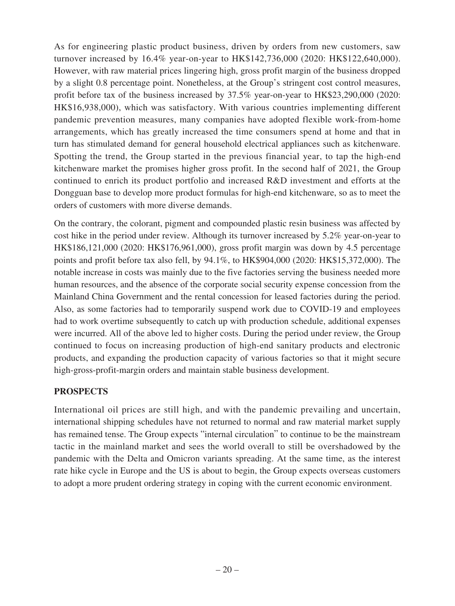As for engineering plastic product business, driven by orders from new customers, saw turnover increased by 16.4% year-on-year to HK\$142,736,000 (2020: HK\$122,640,000). However, with raw material prices lingering high, gross profit margin of the business dropped by a slight 0.8 percentage point. Nonetheless, at the Group's stringent cost control measures, profit before tax of the business increased by 37.5% year-on-year to HK\$23,290,000 (2020: HK\$16,938,000), which was satisfactory. With various countries implementing different pandemic prevention measures, many companies have adopted flexible work-from-home arrangements, which has greatly increased the time consumers spend at home and that in turn has stimulated demand for general household electrical appliances such as kitchenware. Spotting the trend, the Group started in the previous financial year, to tap the high-end kitchenware market the promises higher gross profit. In the second half of 2021, the Group continued to enrich its product portfolio and increased R&D investment and efforts at the Dongguan base to develop more product formulas for high-end kitchenware, so as to meet the orders of customers with more diverse demands.

On the contrary, the colorant, pigment and compounded plastic resin business was affected by cost hike in the period under review. Although its turnover increased by 5.2% year-on-year to HK\$186,121,000 (2020: HK\$176,961,000), gross profit margin was down by 4.5 percentage points and profit before tax also fell, by 94.1%, to HK\$904,000 (2020: HK\$15,372,000). The notable increase in costs was mainly due to the five factories serving the business needed more human resources, and the absence of the corporate social security expense concession from the Mainland China Government and the rental concession for leased factories during the period. Also, as some factories had to temporarily suspend work due to COVID-19 and employees had to work overtime subsequently to catch up with production schedule, additional expenses were incurred. All of the above led to higher costs. During the period under review, the Group continued to focus on increasing production of high-end sanitary products and electronic products, and expanding the production capacity of various factories so that it might secure high-gross-profit-margin orders and maintain stable business development.

# **PROSPECTS**

International oil prices are still high, and with the pandemic prevailing and uncertain, international shipping schedules have not returned to normal and raw material market supply has remained tense. The Group expects "internal circulation" to continue to be the mainstream tactic in the mainland market and sees the world overall to still be overshadowed by the pandemic with the Delta and Omicron variants spreading. At the same time, as the interest rate hike cycle in Europe and the US is about to begin, the Group expects overseas customers to adopt a more prudent ordering strategy in coping with the current economic environment.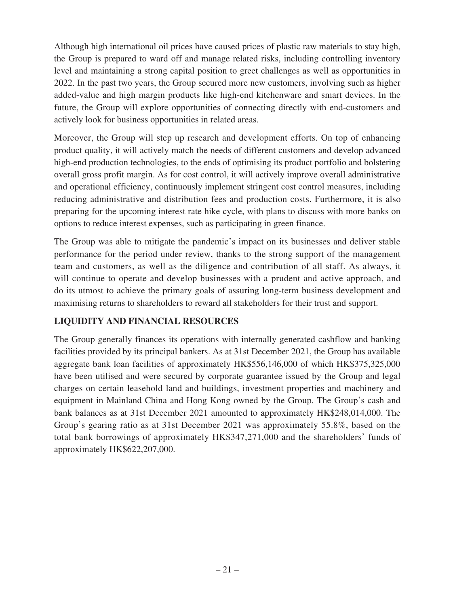Although high international oil prices have caused prices of plastic raw materials to stay high, the Group is prepared to ward off and manage related risks, including controlling inventory level and maintaining a strong capital position to greet challenges as well as opportunities in 2022. In the past two years, the Group secured more new customers, involving such as higher added-value and high margin products like high-end kitchenware and smart devices. In the future, the Group will explore opportunities of connecting directly with end-customers and actively look for business opportunities in related areas.

Moreover, the Group will step up research and development efforts. On top of enhancing product quality, it will actively match the needs of different customers and develop advanced high-end production technologies, to the ends of optimising its product portfolio and bolstering overall gross profit margin. As for cost control, it will actively improve overall administrative and operational efficiency, continuously implement stringent cost control measures, including reducing administrative and distribution fees and production costs. Furthermore, it is also preparing for the upcoming interest rate hike cycle, with plans to discuss with more banks on options to reduce interest expenses, such as participating in green finance.

The Group was able to mitigate the pandemic's impact on its businesses and deliver stable performance for the period under review, thanks to the strong support of the management team and customers, as well as the diligence and contribution of all staff. As always, it will continue to operate and develop businesses with a prudent and active approach, and do its utmost to achieve the primary goals of assuring long-term business development and maximising returns to shareholders to reward all stakeholders for their trust and support.

# **LIQUIDITY AND FINANCIAL RESOURCES**

The Group generally finances its operations with internally generated cashflow and banking facilities provided by its principal bankers. As at 31st December 2021, the Group has available aggregate bank loan facilities of approximately HK\$556,146,000 of which HK\$375,325,000 have been utilised and were secured by corporate guarantee issued by the Group and legal charges on certain leasehold land and buildings, investment properties and machinery and equipment in Mainland China and Hong Kong owned by the Group. The Group's cash and bank balances as at 31st December 2021 amounted to approximately HK\$248,014,000. The Group's gearing ratio as at 31st December 2021 was approximately 55.8%, based on the total bank borrowings of approximately HK\$347,271,000 and the shareholders' funds of approximately HK\$622,207,000.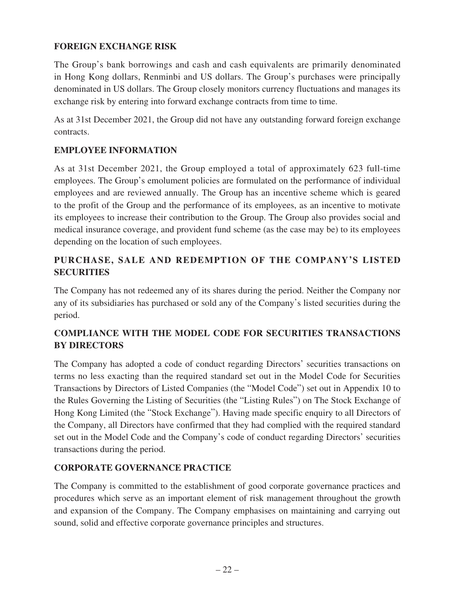# **FOREIGN EXCHANGE RISK**

The Group's bank borrowings and cash and cash equivalents are primarily denominated in Hong Kong dollars, Renminbi and US dollars. The Group's purchases were principally denominated in US dollars. The Group closely monitors currency fluctuations and manages its exchange risk by entering into forward exchange contracts from time to time.

As at 31st December 2021, the Group did not have any outstanding forward foreign exchange contracts.

# **EMPLOYEE INFORMATION**

As at 31st December 2021, the Group employed a total of approximately 623 full-time employees. The Group's emolument policies are formulated on the performance of individual employees and are reviewed annually. The Group has an incentive scheme which is geared to the profit of the Group and the performance of its employees, as an incentive to motivate its employees to increase their contribution to the Group. The Group also provides social and medical insurance coverage, and provident fund scheme (as the case may be) to its employees depending on the location of such employees.

# **PURCHASE, SALE AND REDEMPTION OF THE COMPANY'S LISTED SECURITIES**

The Company has not redeemed any of its shares during the period. Neither the Company nor any of its subsidiaries has purchased or sold any of the Company's listed securities during the period.

# **COMPLIANCE WITH THE MODEL CODE FOR SECURITIES TRANSACTIONS BY DIRECTORS**

The Company has adopted a code of conduct regarding Directors' securities transactions on terms no less exacting than the required standard set out in the Model Code for Securities Transactions by Directors of Listed Companies (the "Model Code") set out in Appendix 10 to the Rules Governing the Listing of Securities (the "Listing Rules") on The Stock Exchange of Hong Kong Limited (the "Stock Exchange"). Having made specific enquiry to all Directors of the Company, all Directors have confirmed that they had complied with the required standard set out in the Model Code and the Company's code of conduct regarding Directors' securities transactions during the period.

# **CORPORATE GOVERNANCE PRACTICE**

The Company is committed to the establishment of good corporate governance practices and procedures which serve as an important element of risk management throughout the growth and expansion of the Company. The Company emphasises on maintaining and carrying out sound, solid and effective corporate governance principles and structures.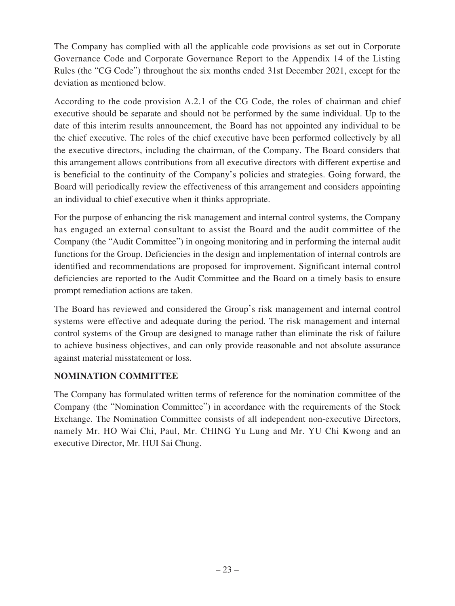The Company has complied with all the applicable code provisions as set out in Corporate Governance Code and Corporate Governance Report to the Appendix 14 of the Listing Rules (the "CG Code") throughout the six months ended 31st December 2021, except for the deviation as mentioned below.

According to the code provision A.2.1 of the CG Code, the roles of chairman and chief executive should be separate and should not be performed by the same individual. Up to the date of this interim results announcement, the Board has not appointed any individual to be the chief executive. The roles of the chief executive have been performed collectively by all the executive directors, including the chairman, of the Company. The Board considers that this arrangement allows contributions from all executive directors with different expertise and is beneficial to the continuity of the Company's policies and strategies. Going forward, the Board will periodically review the effectiveness of this arrangement and considers appointing an individual to chief executive when it thinks appropriate.

For the purpose of enhancing the risk management and internal control systems, the Company has engaged an external consultant to assist the Board and the audit committee of the Company (the "Audit Committee") in ongoing monitoring and in performing the internal audit functions for the Group. Deficiencies in the design and implementation of internal controls are identified and recommendations are proposed for improvement. Significant internal control deficiencies are reported to the Audit Committee and the Board on a timely basis to ensure prompt remediation actions are taken.

The Board has reviewed and considered the Group's risk management and internal control systems were effective and adequate during the period. The risk management and internal control systems of the Group are designed to manage rather than eliminate the risk of failure to achieve business objectives, and can only provide reasonable and not absolute assurance against material misstatement or loss.

# **NOMINATION COMMITTEE**

The Company has formulated written terms of reference for the nomination committee of the Company (the "Nomination Committee") in accordance with the requirements of the Stock Exchange. The Nomination Committee consists of all independent non-executive Directors, namely Mr. HO Wai Chi, Paul, Mr. CHING Yu Lung and Mr. YU Chi Kwong and an executive Director, Mr. HUI Sai Chung.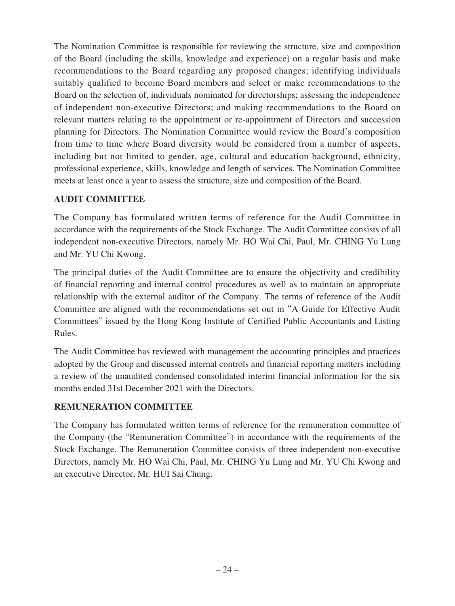The Nomination Committee is responsible for reviewing the structure, size and composition of the Board (including the skills, knowledge and experience) on a regular basis and make recommendations to the Board regarding any proposed changes; identifying individuals suitably qualified to become Board members and select or make recommendations to the Board on the selection of, individuals nominated for directorships; assessing the independence of independent non-executive Directors; and making recommendations to the Board on relevant matters relating to the appointment or re-appointment of Directors and succession planning for Directors. The Nomination Committee would review the Board's composition from time to time where Board diversity would be considered from a number of aspects, including but not limited to gender, age, cultural and education background, ethnicity, professional experience, skills, knowledge and length of services. The Nomination Committee meets at least once a year to assess the structure, size and composition of the Board.

# **AUDIT COMMITTEE**

The Company has formulated written terms of reference for the Audit Committee in accordance with the requirements of the Stock Exchange. The Audit Committee consists of all independent non-executive Directors, namely Mr. HO Wai Chi, Paul, Mr. CHING Yu Lung and Mr. YU Chi Kwong.

The principal duties of the Audit Committee are to ensure the objectivity and credibility of financial reporting and internal control procedures as well as to maintain an appropriate relationship with the external auditor of the Company. The terms of reference of the Audit Committee are aligned with the recommendations set out in "A Guide for Effective Audit Committees" issued by the Hong Kong Institute of Certified Public Accountants and Listing Rules.

The Audit Committee has reviewed with management the accounting principles and practices adopted by the Group and discussed internal controls and financial reporting matters including a review of the unaudited condensed consolidated interim financial information for the six months ended 31st December 2021 with the Directors.

### **REMUNERATION COMMITTEE**

The Company has formulated written terms of reference for the remuneration committee of the Company (the "Remuneration Committee") in accordance with the requirements of the Stock Exchange. The Remuneration Committee consists of three independent non-executive Directors, namely Mr. HO Wai Chi, Paul, Mr. CHING Yu Lung and Mr. YU Chi Kwong and an executive Director, Mr. HUI Sai Chung.